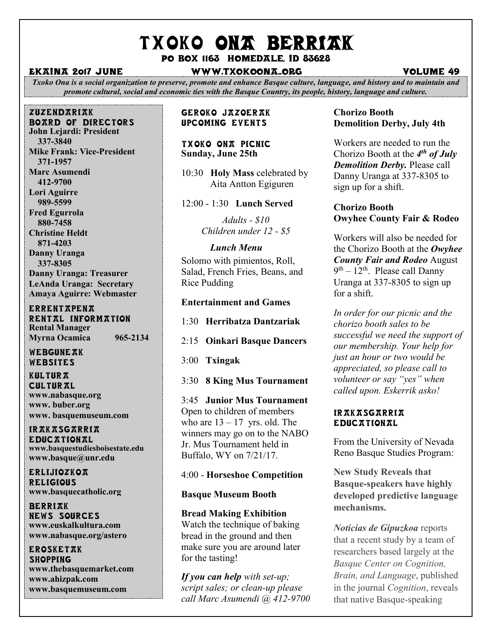# TXOKO ONA BERRIAK

Po box 1163 homedale, id 83628

# Ekaina 2017 june www.txokoona..org volume 49

*Txoko Ona is a social organization to preserve, promote and enhance Basque culture, language, and history and to maintain and promote cultural, social and economic ties with the Basque Country, its people, history, language and culture.*

#### zuzendariak board of directors

**John Lejardi: President 337-3840 Mike Frank: Vice-President 371-1957 Marc Asumendi 412-9700 Lori Aguirre 989-5599 Fred Egurrola 880-7458 Christine Heldt 871-4203 Danny Uranga 337-8305 Danny Uranga: Treasurer LeAnda Uranga: Secretary Amaya Aguirre: Webmaster**

**ERRENTAPENA** RENTAL INFORMATION **Rental Manager Myrna Ocamica 965-2134**

WEBGUNEAK Websites

**KULTURA CULTURAL www.nabasque.org www. buber.org www. basquemuseum.com** 

irakasgarria EDIIC TTION TL **www.basquestudiesboisestate.edu www.basque@unr.edu**

**ERLIJIOZKOA RELIGIOUS www.basquecatholic.org**

**BERRIAK** news sources **www.euskalkultura.com www.nabasque.org/astero**

#### erosketak **SHOPPING www.thebasquemarket.com www.ahizpak.com www.basquemuseum.com**

# Geroko Jazoerak Upcoming events

# Txoko Ona Picnic **Sunday, June 25th**

10:30 **Holy Mass** celebrated by Aita Antton Egiguren

12:00 - 1:30 **Lunch Served**

*Adults - \$10 Children under 12 - \$5*

# *Lunch Menu*

Solomo with pimientos, Roll, Salad, French Fries, Beans, and Rice Pudding

# **Entertainment and Games**

1:30 **Herribatza Dantzariak**

- 2:15 **Oinkari Basque Dancers**
- 3:00 **Txingak**
- 3:30 **8 King Mus Tournament**

3:45 **Junior Mus Tournament** Open to children of members who are  $13 - 17$  yrs. old. The winners may go on to the NABO Jr. Mus Tournament held in Buffalo, WY on 7/21/17.

# 4:00 - **Horseshoe Competition**

# **Basque Museum Booth**

# **Bread Making Exhibition**

Watch the technique of baking bread in the ground and then make sure you are around later for the tasting!

*If you can help with set-up; script sales; or clean-up please call Marc Asumendi @ 412-9700*

# **Chorizo Booth Demolition Derby, July 4th**

Workers are needed to run the Chorizo Booth at the *4 th of July Demolition Derby.* Please call Danny Uranga at 337-8305 to sign up for a shift.

# **Chorizo Booth Owyhee County Fair & Rodeo**

Workers will also be needed for the Chorizo Booth at the *Owyhee County Fair and Rodeo* August  $9<sup>th</sup> - 12<sup>th</sup>$ . Please call Danny Uranga at 337-8305 to sign up for a shift.

*In order for our picnic and the chorizo booth sales to be successful we need the support of our membership. Your help for just an hour or two would be appreciated, so please call to volunteer or say "yes" when called upon. Eskerrik asko!*

# Irakasgarria **EDUCATIONAL**

From the University of Nevada Reno Basque Studies Program:

**New Study Reveals that Basque-speakers have highly developed predictive language mechanisms.**

*Noticias de Gipuzkoa* reports that a recent study by a team of researchers based largely at the *Basque Center on Cognition, Brain, and Language*, published in the journal *Cognition*, reveals that native Basque-speaking